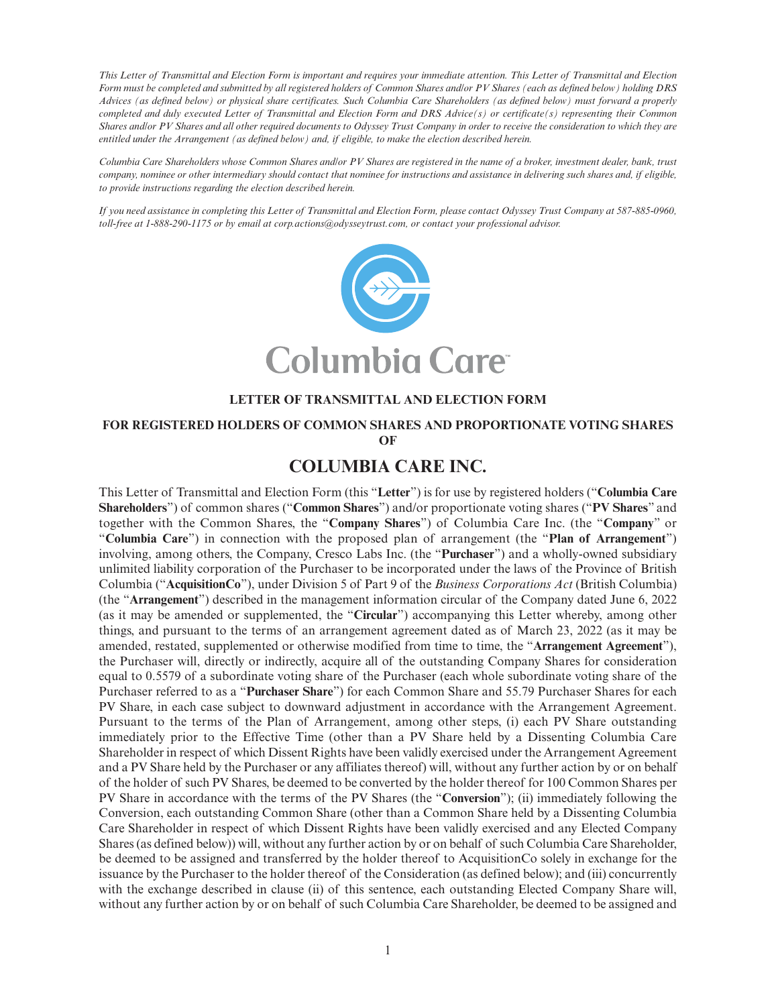*This Letter of Transmittal and Election Form is important and requires your immediate attention. This Letter of Transmittal and Election Form must be completed and submitted by all registered holders of Common Shares and/or PV Shares (each as defined below) holding DRS Advices (as defined below) or physical share certificates. Such Columbia Care Shareholders (as defined below) must forward a properly completed and duly executed Letter of Transmittal and Election Form and DRS Advice(s) or certificate(s) representing their Common Shares and/or PV Shares and all other required documents to Odyssey Trust Company in order to receive the consideration to which they are entitled under the Arrangement (as defined below) and, if eligible, to make the election described herein.*

*Columbia Care Shareholders whose Common Shares and/or PV Shares are registered in the name of a broker, investment dealer, bank, trust company, nominee or other intermediary should contact that nominee for instructions and assistance in delivering such shares and, if eligible, to provide instructions regarding the election described herein.*

*If you need assistance in completing this Letter of Transmittal and Election Form, please contact Odyssey Trust Company at 587-885-0960, toll-free at 1-888-290-1175 or by email at corp.actions@odysseytrust.com, or contact your professional advisor.*



# **LETTER OF TRANSMITTAL AND ELECTION FORM**

#### **FOR REGISTERED HOLDERS OF COMMON SHARES AND PROPORTIONATE VOTING SHARES OF**

# **COLUMBIA CARE INC.**

This Letter of Transmittal and Election Form (this "**Letter**") is for use by registered holders ("**Columbia Care Shareholders**") of common shares ("**Common Shares**") and/or proportionate voting shares ("**PV Shares**" and together with the Common Shares, the "**Company Shares**") of Columbia Care Inc. (the "**Company**" or "**Columbia Care**") in connection with the proposed plan of arrangement (the "**Plan of Arrangement**") involving, among others, the Company, Cresco Labs Inc. (the "**Purchaser**") and a wholly-owned subsidiary unlimited liability corporation of the Purchaser to be incorporated under the laws of the Province of British Columbia ("**AcquisitionCo**"), under Division 5 of Part 9 of the *Business Corporations Act* (British Columbia) (the "**Arrangement**") described in the management information circular of the Company dated June 6, 2022 (as it may be amended or supplemented, the "**Circular**") accompanying this Letter whereby, among other things, and pursuant to the terms of an arrangement agreement dated as of March 23, 2022 (as it may be amended, restated, supplemented or otherwise modified from time to time, the "**Arrangement Agreement**"), the Purchaser will, directly or indirectly, acquire all of the outstanding Company Shares for consideration equal to 0.5579 of a subordinate voting share of the Purchaser (each whole subordinate voting share of the Purchaser referred to as a "**Purchaser Share**") for each Common Share and 55.79 Purchaser Shares for each PV Share, in each case subject to downward adjustment in accordance with the Arrangement Agreement. Pursuant to the terms of the Plan of Arrangement, among other steps, (i) each PV Share outstanding immediately prior to the Effective Time (other than a PV Share held by a Dissenting Columbia Care Shareholder in respect of which Dissent Rights have been validly exercised under the Arrangement Agreement and a PV Share held by the Purchaser or any affiliates thereof) will, without any further action by or on behalf of the holder of such PV Shares, be deemed to be converted by the holder thereof for 100 Common Shares per PV Share in accordance with the terms of the PV Shares (the "**Conversion**"); (ii) immediately following the Conversion, each outstanding Common Share (other than a Common Share held by a Dissenting Columbia Care Shareholder in respect of which Dissent Rights have been validly exercised and any Elected Company Shares (as defined below)) will, without any further action by or on behalf of such Columbia Care Shareholder, be deemed to be assigned and transferred by the holder thereof to AcquisitionCo solely in exchange for the issuance by the Purchaser to the holder thereof of the Consideration (as defined below); and (iii) concurrently with the exchange described in clause (ii) of this sentence, each outstanding Elected Company Share will, without any further action by or on behalf of such Columbia Care Shareholder, be deemed to be assigned and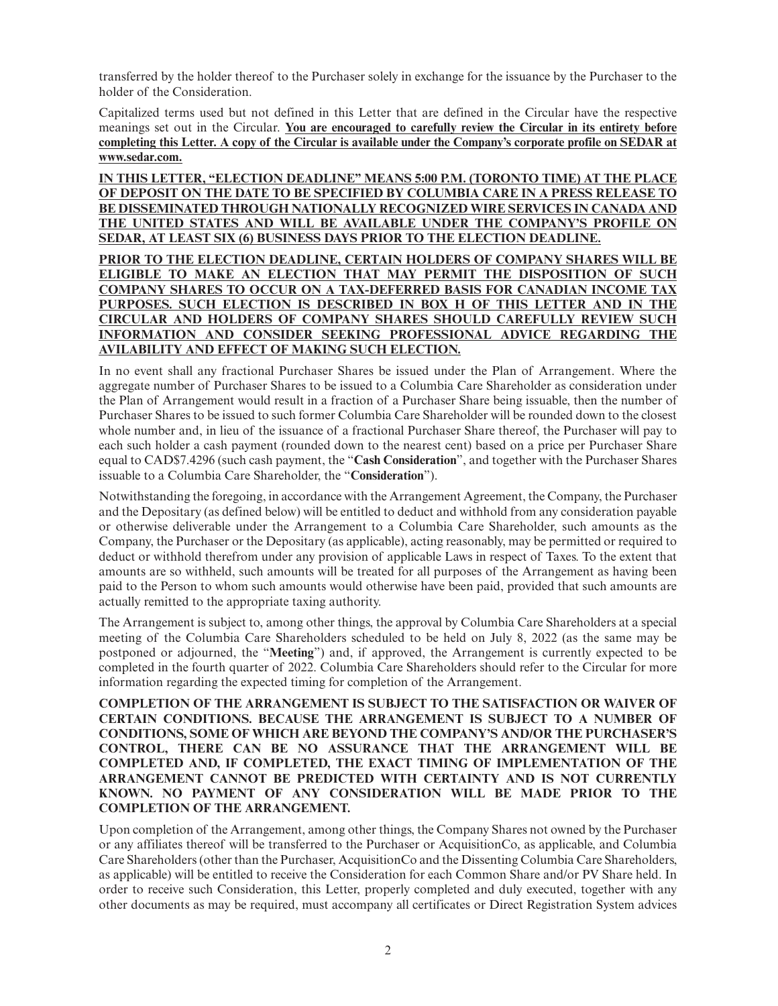transferred by the holder thereof to the Purchaser solely in exchange for the issuance by the Purchaser to the holder of the Consideration.

Capitalized terms used but not defined in this Letter that are defined in the Circular have the respective meanings set out in the Circular. **You are encouraged to carefully review the Circular in its entirety before completing this Letter. A copy of the Circular is available under the Company's corporate profile on SEDAR at www.sedar.com.**

**IN THIS LETTER, "ELECTION DEADLINE" MEANS 5:00 P.M. (TORONTO TIME) AT THE PLACE OF DEPOSIT ON THE DATE TO BE SPECIFIED BY COLUMBIA CARE IN A PRESS RELEASE TO BE DISSEMINATED THROUGH NATIONALLY RECOGNIZED WIRE SERVICES IN CANADA AND THE UNITED STATES AND WILL BE AVAILABLE UNDER THE COMPANY'S PROFILE ON SEDAR, AT LEAST SIX (6) BUSINESS DAYS PRIOR TO THE ELECTION DEADLINE.**

## **PRIOR TO THE ELECTION DEADLINE, CERTAIN HOLDERS OF COMPANY SHARES WILL BE ELIGIBLE TO MAKE AN ELECTION THAT MAY PERMIT THE DISPOSITION OF SUCH COMPANY SHARES TO OCCUR ON A TAX-DEFERRED BASIS FOR CANADIAN INCOME TAX PURPOSES. SUCH ELECTION IS DESCRIBED IN BOX H OF THIS LETTER AND IN THE CIRCULAR AND HOLDERS OF COMPANY SHARES SHOULD CAREFULLY REVIEW SUCH INFORMATION AND CONSIDER SEEKING PROFESSIONAL ADVICE REGARDING THE AVILABILITY AND EFFECT OF MAKING SUCH ELECTION.**

In no event shall any fractional Purchaser Shares be issued under the Plan of Arrangement. Where the aggregate number of Purchaser Shares to be issued to a Columbia Care Shareholder as consideration under the Plan of Arrangement would result in a fraction of a Purchaser Share being issuable, then the number of Purchaser Shares to be issued to such former Columbia Care Shareholder will be rounded down to the closest whole number and, in lieu of the issuance of a fractional Purchaser Share thereof, the Purchaser will pay to each such holder a cash payment (rounded down to the nearest cent) based on a price per Purchaser Share equal to CAD\$7.4296 (such cash payment, the "**Cash Consideration**", and together with the Purchaser Shares issuable to a Columbia Care Shareholder, the "**Consideration**").

Notwithstanding the foregoing, in accordance with the Arrangement Agreement, the Company, the Purchaser and the Depositary (as defined below) will be entitled to deduct and withhold from any consideration payable or otherwise deliverable under the Arrangement to a Columbia Care Shareholder, such amounts as the Company, the Purchaser or the Depositary (as applicable), acting reasonably, may be permitted or required to deduct or withhold therefrom under any provision of applicable Laws in respect of Taxes. To the extent that amounts are so withheld, such amounts will be treated for all purposes of the Arrangement as having been paid to the Person to whom such amounts would otherwise have been paid, provided that such amounts are actually remitted to the appropriate taxing authority.

The Arrangement is subject to, among other things, the approval by Columbia Care Shareholders at a special meeting of the Columbia Care Shareholders scheduled to be held on July 8, 2022 (as the same may be postponed or adjourned, the "**Meeting**") and, if approved, the Arrangement is currently expected to be completed in the fourth quarter of 2022. Columbia Care Shareholders should refer to the Circular for more information regarding the expected timing for completion of the Arrangement.

**COMPLETION OF THE ARRANGEMENT IS SUBJECT TO THE SATISFACTION OR WAIVER OF CERTAIN CONDITIONS. BECAUSE THE ARRANGEMENT IS SUBJECT TO A NUMBER OF CONDITIONS, SOME OF WHICH ARE BEYOND THE COMPANY'S AND/OR THE PURCHASER'S CONTROL, THERE CAN BE NO ASSURANCE THAT THE ARRANGEMENT WILL BE COMPLETED AND, IF COMPLETED, THE EXACT TIMING OF IMPLEMENTATION OF THE ARRANGEMENT CANNOT BE PREDICTED WITH CERTAINTY AND IS NOT CURRENTLY KNOWN. NO PAYMENT OF ANY CONSIDERATION WILL BE MADE PRIOR TO THE COMPLETION OF THE ARRANGEMENT.**

Upon completion of the Arrangement, among other things, the Company Shares not owned by the Purchaser or any affiliates thereof will be transferred to the Purchaser or AcquisitionCo, as applicable, and Columbia Care Shareholders (other than the Purchaser, AcquisitionCo and the Dissenting Columbia Care Shareholders, as applicable) will be entitled to receive the Consideration for each Common Share and/or PV Share held. In order to receive such Consideration, this Letter, properly completed and duly executed, together with any other documents as may be required, must accompany all certificates or Direct Registration System advices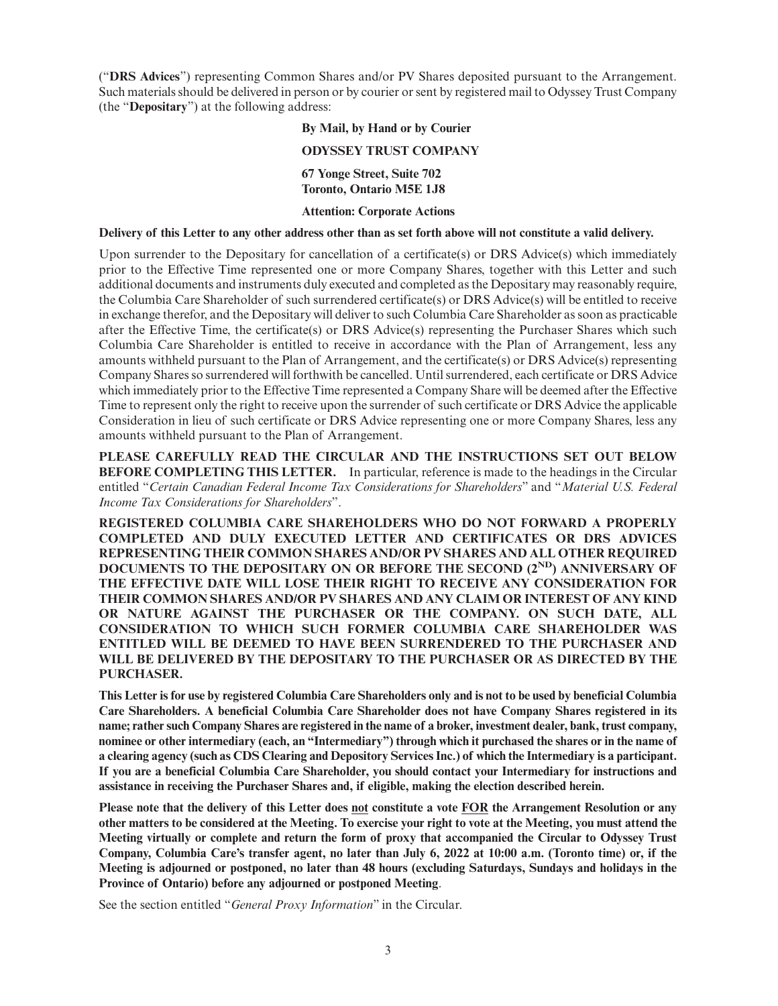("**DRS Advices**") representing Common Shares and/or PV Shares deposited pursuant to the Arrangement. Such materials should be delivered in person or by courier or sent by registered mail to Odyssey Trust Company (the "**Depositary**") at the following address:

# **By Mail, by Hand or by Courier ODYSSEY TRUST COMPANY 67 Yonge Street, Suite 702 Toronto, Ontario M5E 1J8 Attention: Corporate Actions**

#### **Delivery of this Letter to any other address other than as set forth above will not constitute a valid delivery.**

Upon surrender to the Depositary for cancellation of a certificate(s) or DRS Advice(s) which immediately prior to the Effective Time represented one or more Company Shares, together with this Letter and such additional documents and instruments duly executed and completed as the Depositary may reasonably require, the Columbia Care Shareholder of such surrendered certificate(s) or DRS Advice(s) will be entitled to receive in exchange therefor, and the Depositary will deliver to such Columbia Care Shareholder as soon as practicable after the Effective Time, the certificate(s) or DRS Advice(s) representing the Purchaser Shares which such Columbia Care Shareholder is entitled to receive in accordance with the Plan of Arrangement, less any amounts withheld pursuant to the Plan of Arrangement, and the certificate(s) or DRS Advice(s) representing Company Shares so surrendered will forthwith be cancelled. Until surrendered, each certificate or DRS Advice which immediately prior to the Effective Time represented a Company Share will be deemed after the Effective Time to represent only the right to receive upon the surrender of such certificate or DRS Advice the applicable Consideration in lieu of such certificate or DRS Advice representing one or more Company Shares, less any amounts withheld pursuant to the Plan of Arrangement.

**PLEASE CAREFULLY READ THE CIRCULAR AND THE INSTRUCTIONS SET OUT BELOW BEFORE COMPLETING THIS LETTER.** In particular, reference is made to the headings in the Circular entitled "*Certain Canadian Federal Income Tax Considerations for Shareholders*" and "*Material U.S. Federal Income Tax Considerations for Shareholders*".

**REGISTERED COLUMBIA CARE SHAREHOLDERS WHO DO NOT FORWARD A PROPERLY COMPLETED AND DULY EXECUTED LETTER AND CERTIFICATES OR DRS ADVICES REPRESENTING THEIR COMMON SHARES AND/OR PV SHARES AND ALL OTHER REQUIRED DOCUMENTS TO THE DEPOSITARY ON OR BEFORE THE SECOND (2ND) ANNIVERSARY OF THE EFFECTIVE DATE WILL LOSE THEIR RIGHT TO RECEIVE ANY CONSIDERATION FOR THEIR COMMON SHARES AND/OR PV SHARES AND ANY CLAIM OR INTEREST OF ANY KIND OR NATURE AGAINST THE PURCHASER OR THE COMPANY. ON SUCH DATE, ALL CONSIDERATION TO WHICH SUCH FORMER COLUMBIA CARE SHAREHOLDER WAS ENTITLED WILL BE DEEMED TO HAVE BEEN SURRENDERED TO THE PURCHASER AND WILL BE DELIVERED BY THE DEPOSITARY TO THE PURCHASER OR AS DIRECTED BY THE PURCHASER.**

**This Letter is for use by registered Columbia Care Shareholders only and is not to be used by beneficial Columbia Care Shareholders. A beneficial Columbia Care Shareholder does not have Company Shares registered in its name; rather such Company Shares are registered in the name of a broker, investment dealer, bank, trust company, nominee or other intermediary (each, an "Intermediary") through which it purchased the shares or in the name of a clearing agency (such as CDS Clearing and Depository Services Inc.) of which the Intermediary is a participant. If you are a beneficial Columbia Care Shareholder, you should contact your Intermediary for instructions and assistance in receiving the Purchaser Shares and, if eligible, making the election described herein.**

**Please note that the delivery of this Letter does not constitute a vote FOR the Arrangement Resolution or any other matters to be considered at the Meeting. To exercise your right to vote at the Meeting, you must attend the Meeting virtually or complete and return the form of proxy that accompanied the Circular to Odyssey Trust Company, Columbia Care's transfer agent, no later than July 6, 2022 at 10:00 a.m. (Toronto time) or, if the Meeting is adjourned or postponed, no later than 48 hours (excluding Saturdays, Sundays and holidays in the Province of Ontario) before any adjourned or postponed Meeting**.

See the section entitled "*General Proxy Information*" in the Circular.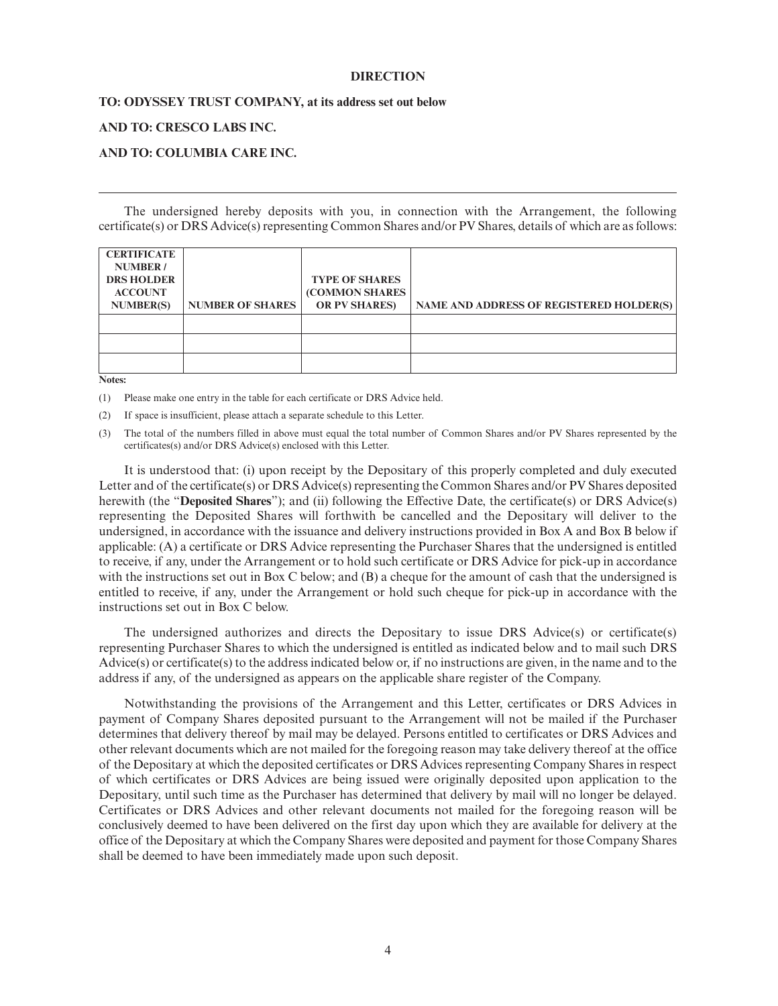#### **DIRECTION**

#### **TO: ODYSSEY TRUST COMPANY, at its address set out below**

#### **AND TO: CRESCO LABS INC.**

#### **AND TO: COLUMBIA CARE INC.**

The undersigned hereby deposits with you, in connection with the Arrangement, the following certificate(s) or DRS Advice(s) representing Common Shares and/or PV Shares, details of which are as follows:

| <b>CERTIFICATE</b><br><b>NUMBER</b> /<br><b>DRS HOLDER</b><br><b>ACCOUNT</b><br><b>NUMBER(S)</b> | <b>NUMBER OF SHARES</b> | <b>TYPE OF SHARES</b><br><b>(COMMON SHARES)</b><br><b>OR PV SHARES)</b> | NAME AND ADDRESS OF REGISTERED HOLDER(S) |
|--------------------------------------------------------------------------------------------------|-------------------------|-------------------------------------------------------------------------|------------------------------------------|
|                                                                                                  |                         |                                                                         |                                          |
|                                                                                                  |                         |                                                                         |                                          |
|                                                                                                  |                         |                                                                         |                                          |

**Notes:**

(1) Please make one entry in the table for each certificate or DRS Advice held.

(2) If space is insufficient, please attach a separate schedule to this Letter.

(3) The total of the numbers filled in above must equal the total number of Common Shares and/or PV Shares represented by the certificates(s) and/or DRS Advice(s) enclosed with this Letter.

It is understood that: (i) upon receipt by the Depositary of this properly completed and duly executed Letter and of the certificate(s) or DRS Advice(s) representing the Common Shares and/or PV Shares deposited herewith (the "**Deposited Shares**"); and (ii) following the Effective Date, the certificate(s) or DRS Advice(s) representing the Deposited Shares will forthwith be cancelled and the Depositary will deliver to the undersigned, in accordance with the issuance and delivery instructions provided in Box A and Box B below if applicable: (A) a certificate or DRS Advice representing the Purchaser Shares that the undersigned is entitled to receive, if any, under the Arrangement or to hold such certificate or DRS Advice for pick-up in accordance with the instructions set out in Box C below; and (B) a cheque for the amount of cash that the undersigned is entitled to receive, if any, under the Arrangement or hold such cheque for pick-up in accordance with the instructions set out in Box C below.

The undersigned authorizes and directs the Depositary to issue DRS Advice(s) or certificate(s) representing Purchaser Shares to which the undersigned is entitled as indicated below and to mail such DRS Advice(s) or certificate(s) to the address indicated below or, if no instructions are given, in the name and to the address if any, of the undersigned as appears on the applicable share register of the Company.

Notwithstanding the provisions of the Arrangement and this Letter, certificates or DRS Advices in payment of Company Shares deposited pursuant to the Arrangement will not be mailed if the Purchaser determines that delivery thereof by mail may be delayed. Persons entitled to certificates or DRS Advices and other relevant documents which are not mailed for the foregoing reason may take delivery thereof at the office of the Depositary at which the deposited certificates or DRS Advices representing Company Shares in respect of which certificates or DRS Advices are being issued were originally deposited upon application to the Depositary, until such time as the Purchaser has determined that delivery by mail will no longer be delayed. Certificates or DRS Advices and other relevant documents not mailed for the foregoing reason will be conclusively deemed to have been delivered on the first day upon which they are available for delivery at the office of the Depositary at which the Company Shares were deposited and payment for those Company Shares shall be deemed to have been immediately made upon such deposit.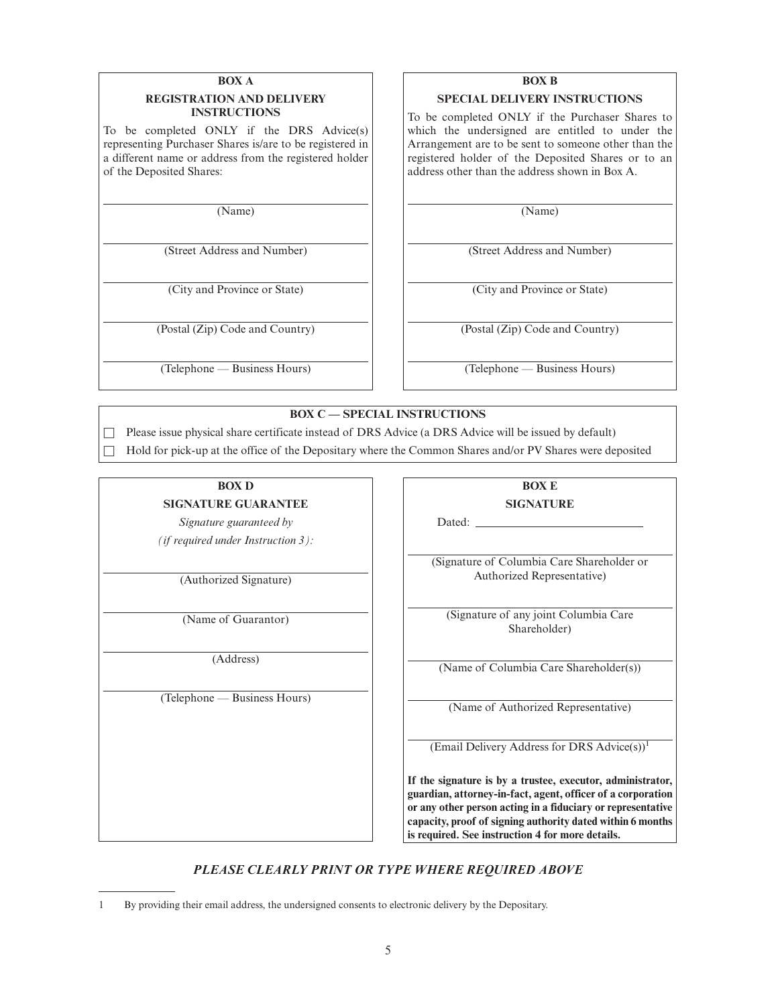#### **BOX A REGISTRATION AND DELIVERY INSTRUCTIONS**

To be completed ONLY if the DRS Advice(s) representing Purchaser Shares is/are to be registered in a different name or address from the registered holder of the Deposited Shares:

(Name)

(Street Address and Number)

(City and Province or State)

(Postal (Zip) Code and Country)

(Telephone — Business Hours)

# **BOX B**

#### **SPECIAL DELIVERY INSTRUCTIONS**

To be completed ONLY if the Purchaser Shares to which the undersigned are entitled to under the Arrangement are to be sent to someone other than the registered holder of the Deposited Shares or to an address other than the address shown in Box A.

(Name)

(Street Address and Number)

(City and Province or State)

(Postal (Zip) Code and Country)

(Telephone — Business Hours)

**BOX C — SPECIAL INSTRUCTIONS**

□ Please issue physical share certificate instead of DRS Advice (a DRS Advice will be issued by default)

Hold for pick-up at the office of the Depositary where the Common Shares and/or PV Shares were deposited

# **BOX D**

#### **SIGNATURE GUARANTEE**

*Signature guaranteed by (if required under Instruction 3):*

(Authorized Signature)

(Name of Guarantor)

(Address)

(Telephone — Business Hours)

**BOX E SIGNATURE** Dated:

(Signature of Columbia Care Shareholder or Authorized Representative)

(Signature of any joint Columbia Care Shareholder)

(Name of Columbia Care Shareholder(s))

(Name of Authorized Representative)

(Email Delivery Address for DRS Advice(s))<sup>1</sup>

**If the signature is by a trustee, executor, administrator, guardian, attorney-in-fact, agent, officer of a corporation or any other person acting in a fiduciary or representative capacity, proof of signing authority dated within 6 months is required. See instruction 4 for more details.**

*PLEASE CLEARLY PRINT OR TYPE WHERE REQUIRED ABOVE*

<sup>1</sup> By providing their email address, the undersigned consents to electronic delivery by the Depositary.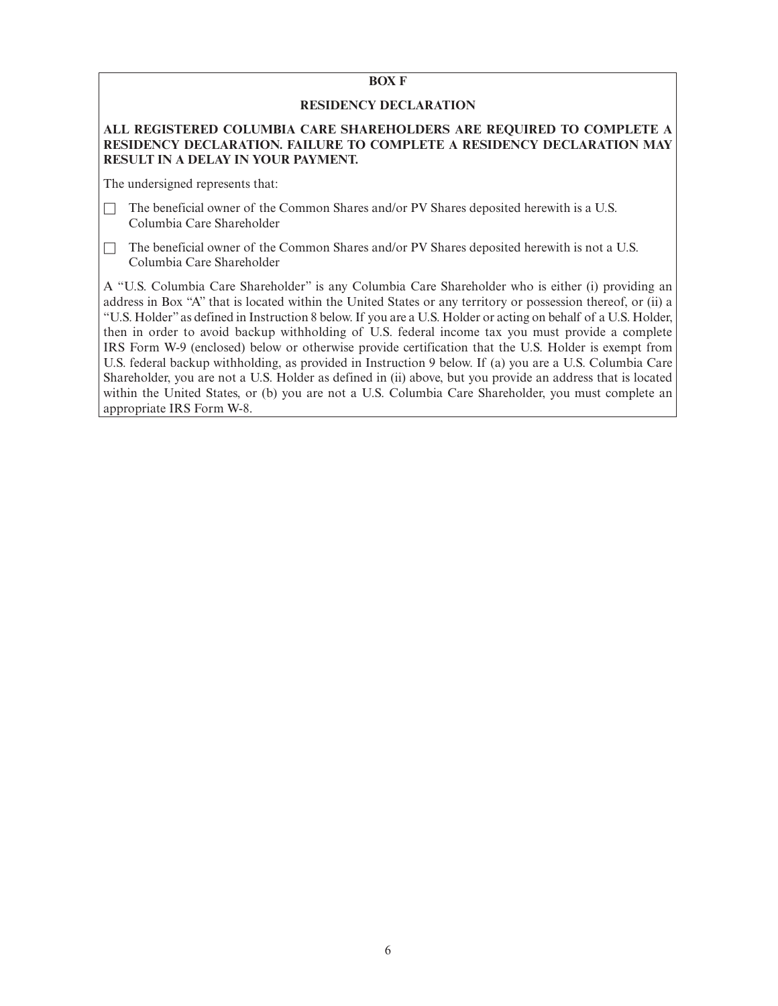# **BOX F**

# **RESIDENCY DECLARATION**

# **ALL REGISTERED COLUMBIA CARE SHAREHOLDERS ARE REQUIRED TO COMPLETE A RESIDENCY DECLARATION. FAILURE TO COMPLETE A RESIDENCY DECLARATION MAY RESULT IN A DELAY IN YOUR PAYMENT.**

The undersigned represents that:

☐ The beneficial owner of the Common Shares and/or PV Shares deposited herewith is a U.S. Columbia Care Shareholder

 $\Box$  The beneficial owner of the Common Shares and/or PV Shares deposited herewith is not a U.S. Columbia Care Shareholder

A "U.S. Columbia Care Shareholder" is any Columbia Care Shareholder who is either (i) providing an address in Box "A" that is located within the United States or any territory or possession thereof, or (ii) a "U.S. Holder" as defined in Instruction 8 below. If you are a U.S. Holder or acting on behalf of a U.S. Holder, then in order to avoid backup withholding of U.S. federal income tax you must provide a complete IRS Form W-9 (enclosed) below or otherwise provide certification that the U.S. Holder is exempt from U.S. federal backup withholding, as provided in Instruction 9 below. If (a) you are a U.S. Columbia Care Shareholder, you are not a U.S. Holder as defined in (ii) above, but you provide an address that is located within the United States, or (b) you are not a U.S. Columbia Care Shareholder, you must complete an appropriate IRS Form W-8.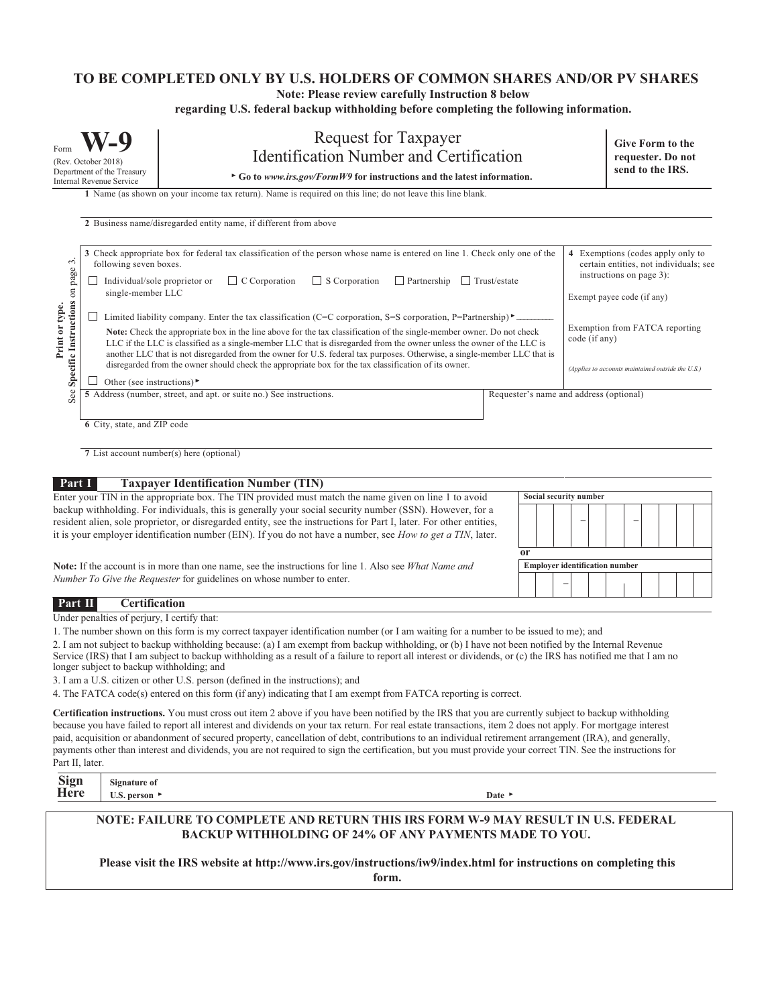#### **TO BE COMPLETED ONLY BY U.S. HOLDERS OF COMMON SHARES AND/OR PV SHARES**

**Note: Please review carefully Instruction 8 below**

**regarding U.S. federal backup withholding before completing the following information.**

| Form<br>(Rev. October 2018)<br>Department of the Treasury<br><b>Internal Revenue Service</b> |                                                                                                                                                                                                                                                                                                                                                                                                                                                                                                                                                                                                                                                                                                                                                                                                                                                                                                      | <b>Request for Taxpayer</b><br><b>Identification Number and Certification</b><br>$\triangleright$ Go to www.irs.gov/FormW9 for instructions and the latest information.                         |                                         |               | <b>Give Form to the</b><br>requester. Do not<br>send to the IRS.                                                                                                                                                             |
|----------------------------------------------------------------------------------------------|------------------------------------------------------------------------------------------------------------------------------------------------------------------------------------------------------------------------------------------------------------------------------------------------------------------------------------------------------------------------------------------------------------------------------------------------------------------------------------------------------------------------------------------------------------------------------------------------------------------------------------------------------------------------------------------------------------------------------------------------------------------------------------------------------------------------------------------------------------------------------------------------------|-------------------------------------------------------------------------------------------------------------------------------------------------------------------------------------------------|-----------------------------------------|---------------|------------------------------------------------------------------------------------------------------------------------------------------------------------------------------------------------------------------------------|
|                                                                                              |                                                                                                                                                                                                                                                                                                                                                                                                                                                                                                                                                                                                                                                                                                                                                                                                                                                                                                      | 1 Name (as shown on your income tax return). Name is required on this line; do not leave this line blank.<br>2 Business name/disregarded entity name, if different from above                   |                                         |               |                                                                                                                                                                                                                              |
| Specific Instructions on page 3.<br>Print or type.                                           | 3 Check appropriate box for federal tax classification of the person whose name is entered on line 1. Check only one of the<br>following seven boxes.<br>$\Box$ C Corporation<br>$\Box$ S Corporation<br>$\Box$ Partnership<br>Trust/estate<br>Individual/sole proprietor or<br>single-member LLC<br>Limited liability company. Enter the tax classification (C=C corporation, S=S corporation, P=Partnership)<br>Note: Check the appropriate box in the line above for the tax classification of the single-member owner. Do not check<br>LLC if the LLC is classified as a single-member LLC that is disregarded from the owner unless the owner of the LLC is<br>another LLC that is not disregarded from the owner for U.S. federal tax purposes. Otherwise, a single-member LLC that is<br>disregarded from the owner should check the appropriate box for the tax classification of its owner. |                                                                                                                                                                                                 |                                         | code (if any) | 4 Exemptions (codes apply only to<br>certain entities, not individuals; see<br>instructions on page 3):<br>Exempt payee code (if any)<br>Exemption from FATCA reporting<br>(Applies to accounts maintained outside the U.S.) |
| See                                                                                          | Other (see instructions) $\blacktriangleright$<br>5 Address (number, street, and apt. or suite no.) See instructions.<br>6 City, state, and ZIP code                                                                                                                                                                                                                                                                                                                                                                                                                                                                                                                                                                                                                                                                                                                                                 |                                                                                                                                                                                                 | Requester's name and address (optional) |               |                                                                                                                                                                                                                              |
| Part I                                                                                       |                                                                                                                                                                                                                                                                                                                                                                                                                                                                                                                                                                                                                                                                                                                                                                                                                                                                                                      | 7 List account number(s) here (optional)<br><b>Taxpayer Identification Number (TIN)</b><br>Enter your TIN in the appropriate boy. The TIN provided must match the name given on line 1 to avoid | Social security number                  |               |                                                                                                                                                                                                                              |

Enter your TIN in the appropriate box. The TIN provided must match the name given on line 1 to avoid backup withholding. For individuals, this is generally your social security number (SSN). However, for a resident alien, sole proprietor, or disregarded entity, see the instructions for Part I, later. For other entities, it is your employer identification number (EIN). If you do not have a number, see *How to get a TIN*, later.

**Note:** If the account is in more than one name, see the instructions for line 1. Also see *What Name and Number To Give the Requester* for guidelines on whose number to enter.

| Part II. | <b>Certification</b> |
|----------|----------------------|
|          |                      |

Under penalties of perjury, I certify that:

1. The number shown on this form is my correct taxpayer identification number (or I am waiting for a number to be issued to me); and

2. I am not subject to backup withholding because: (a) I am exempt from backup withholding, or (b) I have not been notified by the Internal Revenue Service (IRS) that I am subject to backup withholding as a result of a failure to report all interest or dividends, or (c) the IRS has notified me that I am no longer subject to backup withholding; and

3. I am a U.S. citizen or other U.S. person (defined in the instructions); and

4. The FATCA code(s) entered on this form (if any) indicating that I am exempt from FATCA reporting is correct.

**Certification instructions.** You must cross out item 2 above if you have been notified by the IRS that you are currently subject to backup withholding because you have failed to report all interest and dividends on your tax return. For real estate transactions, item 2 does not apply. For mortgage interest paid, acquisition or abandonment of secured property, cancellation of debt, contributions to an individual retirement arrangement (IRA), and generally, payments other than interest and dividends, you are not required to sign the certification, but you must provide your correct TIN. See the instructions for Part II, later.

| <b>Sign</b> | Signature of                      |      |
|-------------|-----------------------------------|------|
| Here        | U.S. person $\blacktriangleright$ | Date |

**– –**

**–**

**Employer identification number**

**or**

#### **NOTE: FAILURE TO COMPLETE AND RETURN THIS IRS FORM W-9 MAY RESULT IN U.S. FEDERAL BACKUP WITHHOLDING OF 24% OF ANY PAYMENTS MADE TO YOU.**

**Please visit the IRS website at http://www.irs.gov/instructions/iw9/index.html for instructions on completing this form.**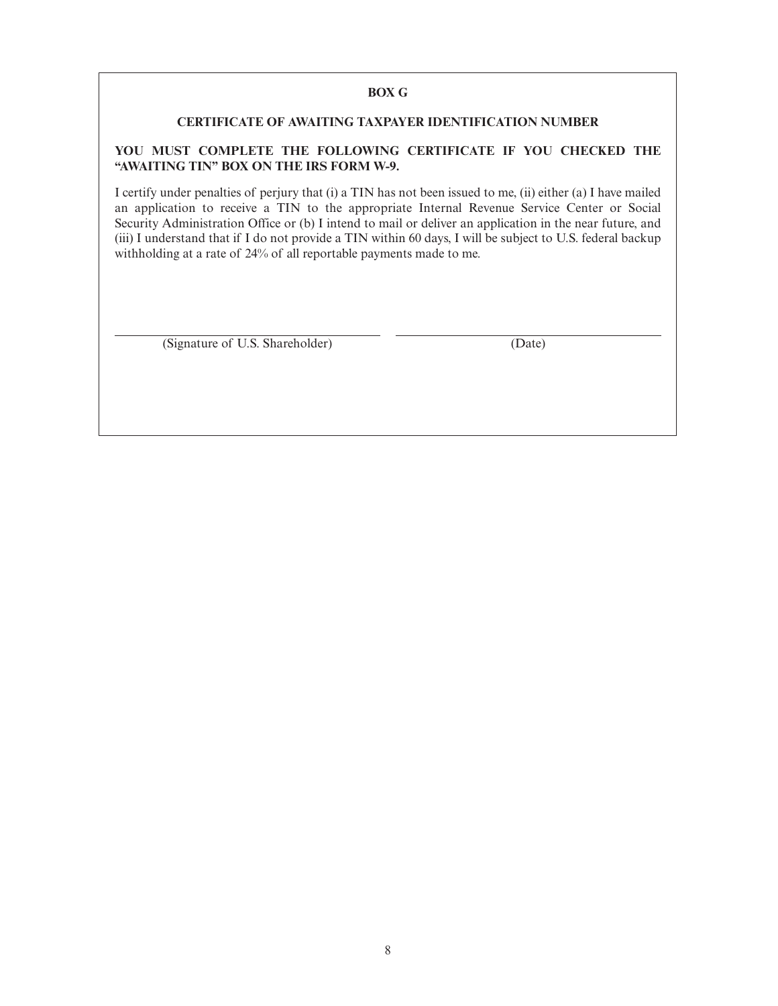# **BOX G**

# **CERTIFICATE OF AWAITING TAXPAYER IDENTIFICATION NUMBER**

# **YOU MUST COMPLETE THE FOLLOWING CERTIFICATE IF YOU CHECKED THE "AWAITING TIN" BOX ON THE IRS FORM W-9.**

I certify under penalties of perjury that (i) a TIN has not been issued to me, (ii) either (a) I have mailed an application to receive a TIN to the appropriate Internal Revenue Service Center or Social Security Administration Office or (b) I intend to mail or deliver an application in the near future, and (iii) I understand that if I do not provide a TIN within 60 days, I will be subject to U.S. federal backup withholding at a rate of 24% of all reportable payments made to me.

(Signature of U.S. Shareholder) (Date)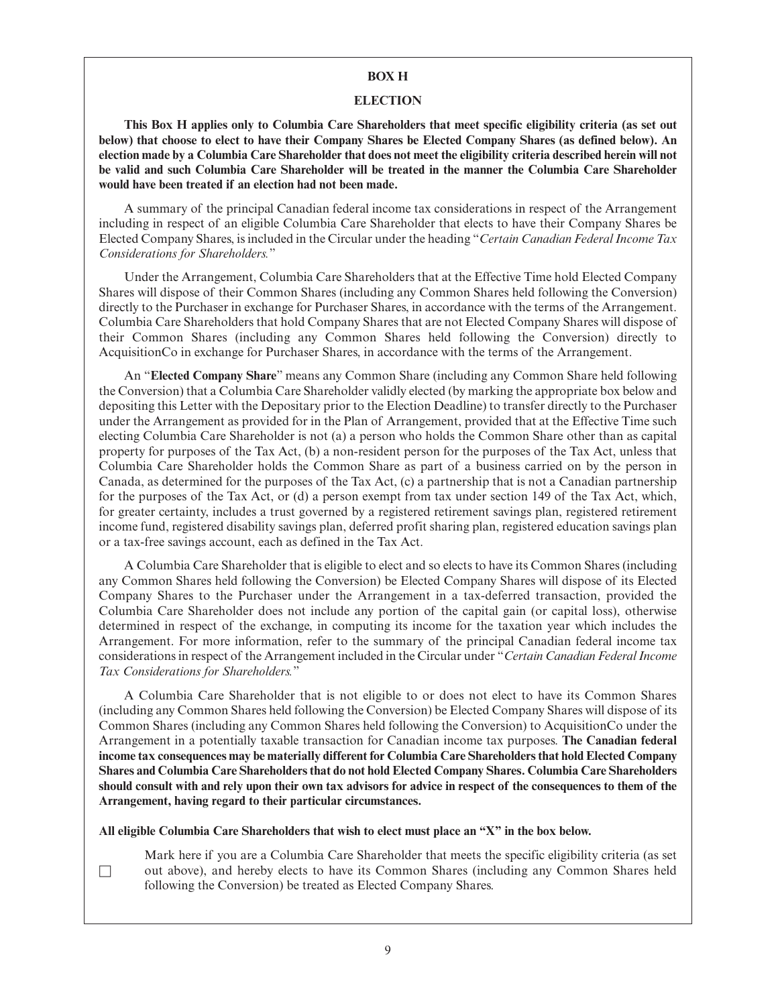#### **BOX H**

#### **ELECTION**

**This Box H applies only to Columbia Care Shareholders that meet specific eligibility criteria (as set out below) that choose to elect to have their Company Shares be Elected Company Shares (as defined below). An election made by a Columbia Care Shareholder that does not meet the eligibility criteria described herein will not be valid and such Columbia Care Shareholder will be treated in the manner the Columbia Care Shareholder would have been treated if an election had not been made.**

A summary of the principal Canadian federal income tax considerations in respect of the Arrangement including in respect of an eligible Columbia Care Shareholder that elects to have their Company Shares be Elected Company Shares, is included in the Circular under the heading "*Certain Canadian Federal Income Tax Considerations for Shareholders.*"

Under the Arrangement, Columbia Care Shareholders that at the Effective Time hold Elected Company Shares will dispose of their Common Shares (including any Common Shares held following the Conversion) directly to the Purchaser in exchange for Purchaser Shares, in accordance with the terms of the Arrangement. Columbia Care Shareholders that hold Company Shares that are not Elected Company Shares will dispose of their Common Shares (including any Common Shares held following the Conversion) directly to AcquisitionCo in exchange for Purchaser Shares, in accordance with the terms of the Arrangement.

An "**Elected Company Share**" means any Common Share (including any Common Share held following the Conversion) that a Columbia Care Shareholder validly elected (by marking the appropriate box below and depositing this Letter with the Depositary prior to the Election Deadline) to transfer directly to the Purchaser under the Arrangement as provided for in the Plan of Arrangement, provided that at the Effective Time such electing Columbia Care Shareholder is not (a) a person who holds the Common Share other than as capital property for purposes of the Tax Act, (b) a non-resident person for the purposes of the Tax Act, unless that Columbia Care Shareholder holds the Common Share as part of a business carried on by the person in Canada, as determined for the purposes of the Tax Act, (c) a partnership that is not a Canadian partnership for the purposes of the Tax Act, or (d) a person exempt from tax under section 149 of the Tax Act, which, for greater certainty, includes a trust governed by a registered retirement savings plan, registered retirement income fund, registered disability savings plan, deferred profit sharing plan, registered education savings plan or a tax-free savings account, each as defined in the Tax Act.

A Columbia Care Shareholder that is eligible to elect and so elects to have its Common Shares (including any Common Shares held following the Conversion) be Elected Company Shares will dispose of its Elected Company Shares to the Purchaser under the Arrangement in a tax-deferred transaction, provided the Columbia Care Shareholder does not include any portion of the capital gain (or capital loss), otherwise determined in respect of the exchange, in computing its income for the taxation year which includes the Arrangement. For more information, refer to the summary of the principal Canadian federal income tax considerations in respect of the Arrangement included in the Circular under "*Certain Canadian Federal Income Tax Considerations for Shareholders.*"

A Columbia Care Shareholder that is not eligible to or does not elect to have its Common Shares (including any Common Shares held following the Conversion) be Elected Company Shares will dispose of its Common Shares (including any Common Shares held following the Conversion) to AcquisitionCo under the Arrangement in a potentially taxable transaction for Canadian income tax purposes. **The Canadian federal income tax consequences may be materially different for Columbia Care Shareholders that hold Elected Company Shares and Columbia Care Shareholders that do not hold Elected Company Shares. Columbia Care Shareholders should consult with and rely upon their own tax advisors for advice in respect of the consequences to them of the Arrangement, having regard to their particular circumstances.**

**All eligible Columbia Care Shareholders that wish to elect must place an "X" in the box below.**

☐

Mark here if you are a Columbia Care Shareholder that meets the specific eligibility criteria (as set out above), and hereby elects to have its Common Shares (including any Common Shares held following the Conversion) be treated as Elected Company Shares.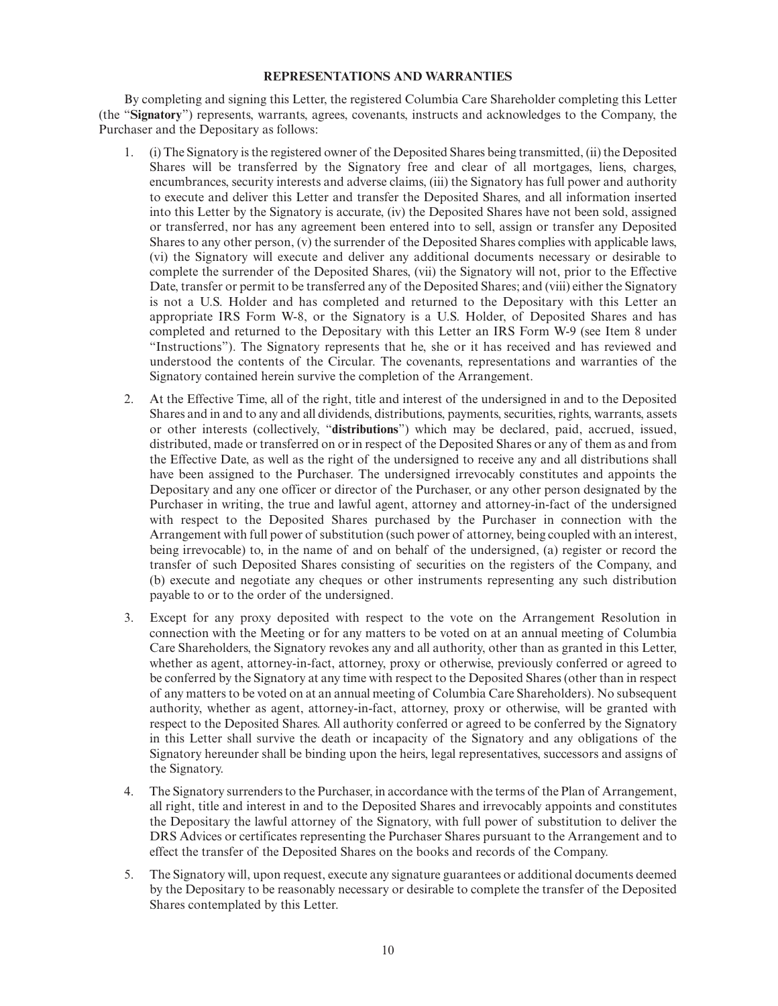#### **REPRESENTATIONS AND WARRANTIES**

By completing and signing this Letter, the registered Columbia Care Shareholder completing this Letter (the "**Signatory**") represents, warrants, agrees, covenants, instructs and acknowledges to the Company, the Purchaser and the Depositary as follows:

- 1. (i) The Signatory is the registered owner of the Deposited Shares being transmitted, (ii) the Deposited Shares will be transferred by the Signatory free and clear of all mortgages, liens, charges, encumbrances, security interests and adverse claims, (iii) the Signatory has full power and authority to execute and deliver this Letter and transfer the Deposited Shares, and all information inserted into this Letter by the Signatory is accurate, (iv) the Deposited Shares have not been sold, assigned or transferred, nor has any agreement been entered into to sell, assign or transfer any Deposited Shares to any other person, (v) the surrender of the Deposited Shares complies with applicable laws, (vi) the Signatory will execute and deliver any additional documents necessary or desirable to complete the surrender of the Deposited Shares, (vii) the Signatory will not, prior to the Effective Date, transfer or permit to be transferred any of the Deposited Shares; and (viii) either the Signatory is not a U.S. Holder and has completed and returned to the Depositary with this Letter an appropriate IRS Form W-8, or the Signatory is a U.S. Holder, of Deposited Shares and has completed and returned to the Depositary with this Letter an IRS Form W-9 (see Item 8 under "Instructions"). The Signatory represents that he, she or it has received and has reviewed and understood the contents of the Circular. The covenants, representations and warranties of the Signatory contained herein survive the completion of the Arrangement.
- 2. At the Effective Time, all of the right, title and interest of the undersigned in and to the Deposited Shares and in and to any and all dividends, distributions, payments, securities, rights, warrants, assets or other interests (collectively, "**distributions**") which may be declared, paid, accrued, issued, distributed, made or transferred on or in respect of the Deposited Shares or any of them as and from the Effective Date, as well as the right of the undersigned to receive any and all distributions shall have been assigned to the Purchaser. The undersigned irrevocably constitutes and appoints the Depositary and any one officer or director of the Purchaser, or any other person designated by the Purchaser in writing, the true and lawful agent, attorney and attorney-in-fact of the undersigned with respect to the Deposited Shares purchased by the Purchaser in connection with the Arrangement with full power of substitution (such power of attorney, being coupled with an interest, being irrevocable) to, in the name of and on behalf of the undersigned, (a) register or record the transfer of such Deposited Shares consisting of securities on the registers of the Company, and (b) execute and negotiate any cheques or other instruments representing any such distribution payable to or to the order of the undersigned.
- 3. Except for any proxy deposited with respect to the vote on the Arrangement Resolution in connection with the Meeting or for any matters to be voted on at an annual meeting of Columbia Care Shareholders, the Signatory revokes any and all authority, other than as granted in this Letter, whether as agent, attorney-in-fact, attorney, proxy or otherwise, previously conferred or agreed to be conferred by the Signatory at any time with respect to the Deposited Shares (other than in respect of any matters to be voted on at an annual meeting of Columbia Care Shareholders). No subsequent authority, whether as agent, attorney-in-fact, attorney, proxy or otherwise, will be granted with respect to the Deposited Shares. All authority conferred or agreed to be conferred by the Signatory in this Letter shall survive the death or incapacity of the Signatory and any obligations of the Signatory hereunder shall be binding upon the heirs, legal representatives, successors and assigns of the Signatory.
- 4. The Signatory surrenders to the Purchaser, in accordance with the terms of the Plan of Arrangement, all right, title and interest in and to the Deposited Shares and irrevocably appoints and constitutes the Depositary the lawful attorney of the Signatory, with full power of substitution to deliver the DRS Advices or certificates representing the Purchaser Shares pursuant to the Arrangement and to effect the transfer of the Deposited Shares on the books and records of the Company.
- 5. The Signatory will, upon request, execute any signature guarantees or additional documents deemed by the Depositary to be reasonably necessary or desirable to complete the transfer of the Deposited Shares contemplated by this Letter.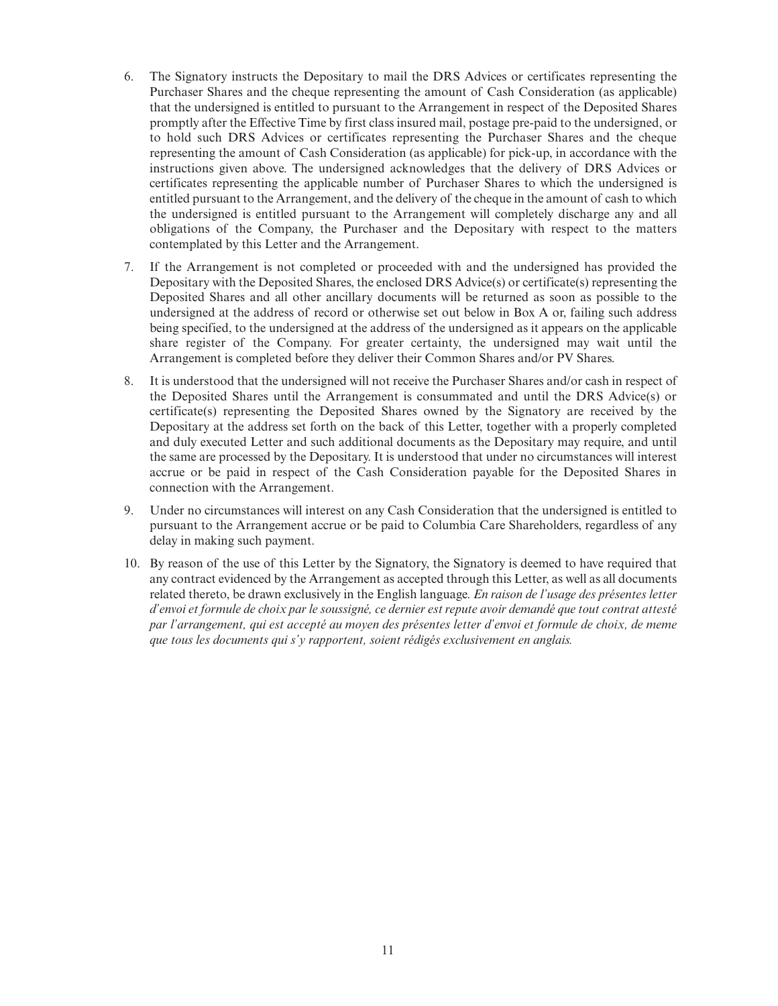- 6. The Signatory instructs the Depositary to mail the DRS Advices or certificates representing the Purchaser Shares and the cheque representing the amount of Cash Consideration (as applicable) that the undersigned is entitled to pursuant to the Arrangement in respect of the Deposited Shares promptly after the Effective Time by first class insured mail, postage pre-paid to the undersigned, or to hold such DRS Advices or certificates representing the Purchaser Shares and the cheque representing the amount of Cash Consideration (as applicable) for pick-up, in accordance with the instructions given above. The undersigned acknowledges that the delivery of DRS Advices or certificates representing the applicable number of Purchaser Shares to which the undersigned is entitled pursuant to the Arrangement, and the delivery of the cheque in the amount of cash to which the undersigned is entitled pursuant to the Arrangement will completely discharge any and all obligations of the Company, the Purchaser and the Depositary with respect to the matters contemplated by this Letter and the Arrangement.
- 7. If the Arrangement is not completed or proceeded with and the undersigned has provided the Depositary with the Deposited Shares, the enclosed DRS Advice(s) or certificate(s) representing the Deposited Shares and all other ancillary documents will be returned as soon as possible to the undersigned at the address of record or otherwise set out below in Box A or, failing such address being specified, to the undersigned at the address of the undersigned as it appears on the applicable share register of the Company. For greater certainty, the undersigned may wait until the Arrangement is completed before they deliver their Common Shares and/or PV Shares.
- 8. It is understood that the undersigned will not receive the Purchaser Shares and/or cash in respect of the Deposited Shares until the Arrangement is consummated and until the DRS Advice(s) or certificate(s) representing the Deposited Shares owned by the Signatory are received by the Depositary at the address set forth on the back of this Letter, together with a properly completed and duly executed Letter and such additional documents as the Depositary may require, and until the same are processed by the Depositary. It is understood that under no circumstances will interest accrue or be paid in respect of the Cash Consideration payable for the Deposited Shares in connection with the Arrangement.
- 9. Under no circumstances will interest on any Cash Consideration that the undersigned is entitled to pursuant to the Arrangement accrue or be paid to Columbia Care Shareholders, regardless of any delay in making such payment.
- 10. By reason of the use of this Letter by the Signatory, the Signatory is deemed to have required that any contract evidenced by the Arrangement as accepted through this Letter, as well as all documents related thereto, be drawn exclusively in the English language. *En raison de l'usage des présentes letter d'envoi et formule de choix par le soussigné, ce dernier est repute avoir demandé que tout contrat attesté par l'arrangement, qui est accepté au moyen des présentes letter d'envoi et formule de choix, de meme que tous les documents qui s'y rapportent, soient rédigés exclusivement en anglais.*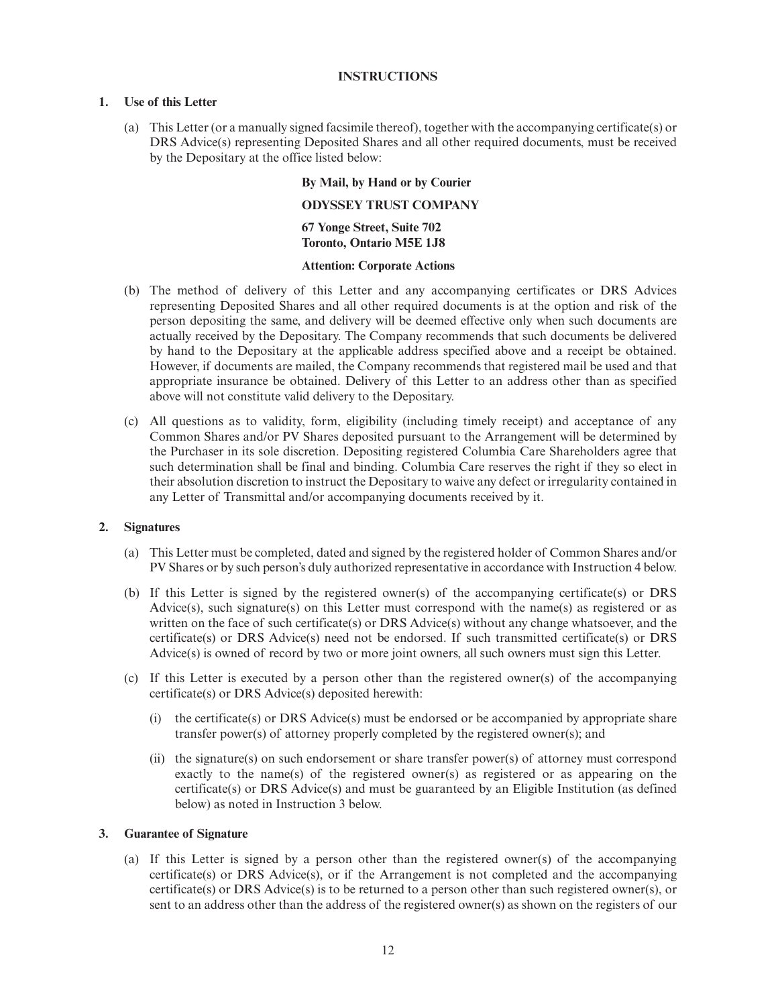#### **INSTRUCTIONS**

# **1. Use of this Letter**

(a) This Letter (or a manually signed facsimile thereof), together with the accompanying certificate(s) or DRS Advice(s) representing Deposited Shares and all other required documents, must be received by the Depositary at the office listed below:

## **By Mail, by Hand or by Courier**

#### **ODYSSEY TRUST COMPANY**

**67 Yonge Street, Suite 702 Toronto, Ontario M5E 1J8**

#### **Attention: Corporate Actions**

- (b) The method of delivery of this Letter and any accompanying certificates or DRS Advices representing Deposited Shares and all other required documents is at the option and risk of the person depositing the same, and delivery will be deemed effective only when such documents are actually received by the Depositary. The Company recommends that such documents be delivered by hand to the Depositary at the applicable address specified above and a receipt be obtained. However, if documents are mailed, the Company recommends that registered mail be used and that appropriate insurance be obtained. Delivery of this Letter to an address other than as specified above will not constitute valid delivery to the Depositary.
- (c) All questions as to validity, form, eligibility (including timely receipt) and acceptance of any Common Shares and/or PV Shares deposited pursuant to the Arrangement will be determined by the Purchaser in its sole discretion. Depositing registered Columbia Care Shareholders agree that such determination shall be final and binding. Columbia Care reserves the right if they so elect in their absolution discretion to instruct the Depositary to waive any defect or irregularity contained in any Letter of Transmittal and/or accompanying documents received by it.

#### **2. Signatures**

- (a) This Letter must be completed, dated and signed by the registered holder of Common Shares and/or PV Shares or by such person's duly authorized representative in accordance with Instruction 4 below.
- (b) If this Letter is signed by the registered owner(s) of the accompanying certificate(s) or DRS Advice(s), such signature(s) on this Letter must correspond with the name(s) as registered or as written on the face of such certificate(s) or DRS Advice(s) without any change whatsoever, and the certificate(s) or DRS Advice(s) need not be endorsed. If such transmitted certificate(s) or DRS Advice(s) is owned of record by two or more joint owners, all such owners must sign this Letter.
- (c) If this Letter is executed by a person other than the registered owner(s) of the accompanying certificate(s) or DRS Advice(s) deposited herewith:
	- (i) the certificate(s) or DRS Advice(s) must be endorsed or be accompanied by appropriate share transfer power(s) of attorney properly completed by the registered owner(s); and
	- (ii) the signature(s) on such endorsement or share transfer power(s) of attorney must correspond exactly to the name(s) of the registered owner(s) as registered or as appearing on the certificate(s) or DRS Advice(s) and must be guaranteed by an Eligible Institution (as defined below) as noted in Instruction 3 below.

#### **3. Guarantee of Signature**

(a) If this Letter is signed by a person other than the registered owner(s) of the accompanying certificate(s) or DRS Advice(s), or if the Arrangement is not completed and the accompanying certificate(s) or DRS Advice(s) is to be returned to a person other than such registered owner(s), or sent to an address other than the address of the registered owner(s) as shown on the registers of our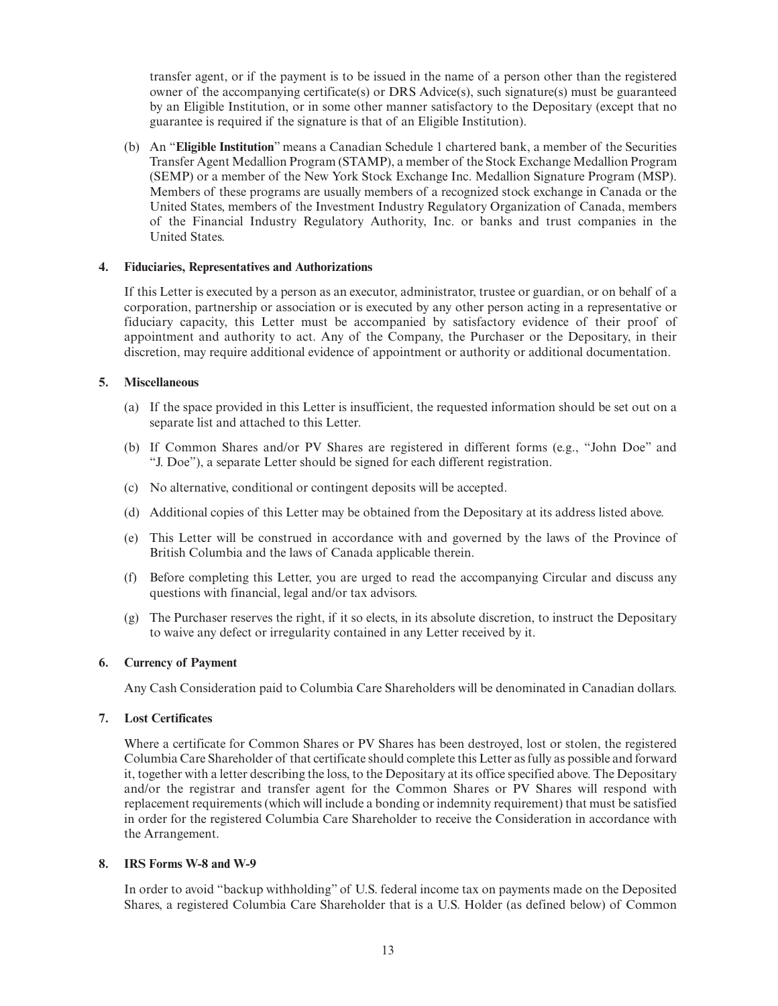transfer agent, or if the payment is to be issued in the name of a person other than the registered owner of the accompanying certificate(s) or DRS Advice(s), such signature(s) must be guaranteed by an Eligible Institution, or in some other manner satisfactory to the Depositary (except that no guarantee is required if the signature is that of an Eligible Institution).

(b) An "**Eligible Institution**" means a Canadian Schedule 1 chartered bank, a member of the Securities Transfer Agent Medallion Program (STAMP), a member of the Stock Exchange Medallion Program (SEMP) or a member of the New York Stock Exchange Inc. Medallion Signature Program (MSP). Members of these programs are usually members of a recognized stock exchange in Canada or the United States, members of the Investment Industry Regulatory Organization of Canada, members of the Financial Industry Regulatory Authority, Inc. or banks and trust companies in the United States.

#### **4. Fiduciaries, Representatives and Authorizations**

If this Letter is executed by a person as an executor, administrator, trustee or guardian, or on behalf of a corporation, partnership or association or is executed by any other person acting in a representative or fiduciary capacity, this Letter must be accompanied by satisfactory evidence of their proof of appointment and authority to act. Any of the Company, the Purchaser or the Depositary, in their discretion, may require additional evidence of appointment or authority or additional documentation.

#### **5. Miscellaneous**

- (a) If the space provided in this Letter is insufficient, the requested information should be set out on a separate list and attached to this Letter.
- (b) If Common Shares and/or PV Shares are registered in different forms (e.g., "John Doe" and "J. Doe"), a separate Letter should be signed for each different registration.
- (c) No alternative, conditional or contingent deposits will be accepted.
- (d) Additional copies of this Letter may be obtained from the Depositary at its address listed above.
- (e) This Letter will be construed in accordance with and governed by the laws of the Province of British Columbia and the laws of Canada applicable therein.
- (f) Before completing this Letter, you are urged to read the accompanying Circular and discuss any questions with financial, legal and/or tax advisors.
- (g) The Purchaser reserves the right, if it so elects, in its absolute discretion, to instruct the Depositary to waive any defect or irregularity contained in any Letter received by it.

#### **6. Currency of Payment**

Any Cash Consideration paid to Columbia Care Shareholders will be denominated in Canadian dollars.

#### **7. Lost Certificates**

Where a certificate for Common Shares or PV Shares has been destroyed, lost or stolen, the registered Columbia Care Shareholder of that certificate should complete this Letter as fully as possible and forward it, together with a letter describing the loss, to the Depositary at its office specified above. The Depositary and/or the registrar and transfer agent for the Common Shares or PV Shares will respond with replacement requirements (which will include a bonding or indemnity requirement) that must be satisfied in order for the registered Columbia Care Shareholder to receive the Consideration in accordance with the Arrangement.

#### **8. IRS Forms W-8 and W-9**

In order to avoid "backup withholding" of U.S. federal income tax on payments made on the Deposited Shares, a registered Columbia Care Shareholder that is a U.S. Holder (as defined below) of Common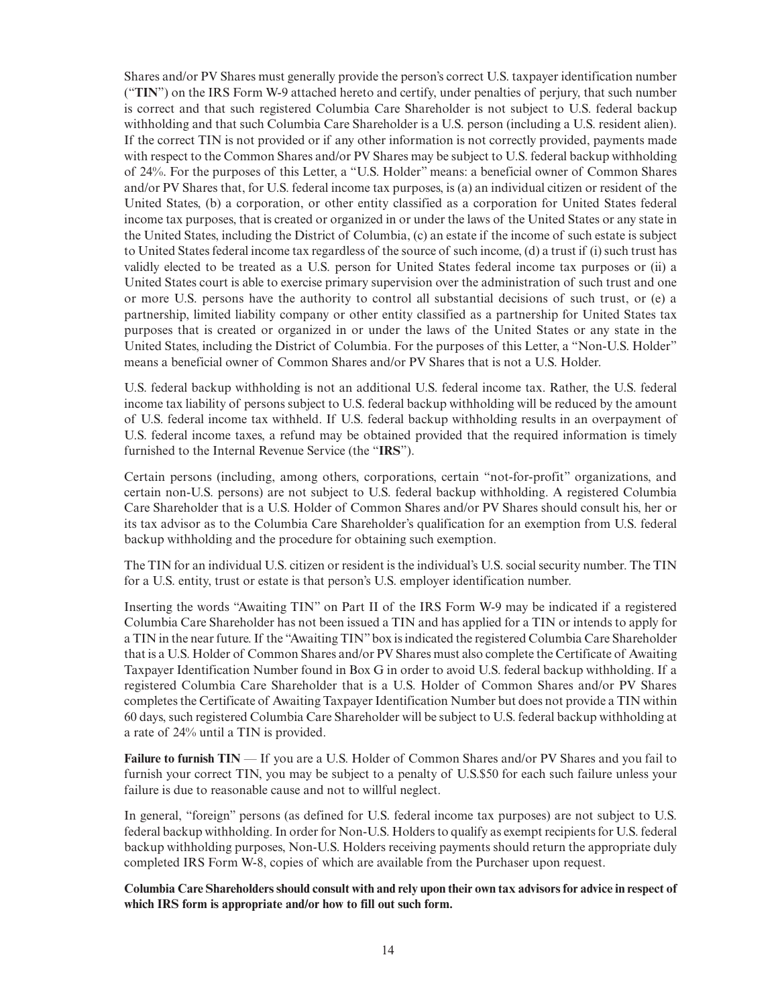Shares and/or PV Shares must generally provide the person's correct U.S. taxpayer identification number ("**TIN**") on the IRS Form W-9 attached hereto and certify, under penalties of perjury, that such number is correct and that such registered Columbia Care Shareholder is not subject to U.S. federal backup withholding and that such Columbia Care Shareholder is a U.S. person (including a U.S. resident alien). If the correct TIN is not provided or if any other information is not correctly provided, payments made with respect to the Common Shares and/or PV Shares may be subject to U.S. federal backup withholding of 24%. For the purposes of this Letter, a "U.S. Holder" means: a beneficial owner of Common Shares and/or PV Shares that, for U.S. federal income tax purposes, is (a) an individual citizen or resident of the United States, (b) a corporation, or other entity classified as a corporation for United States federal income tax purposes, that is created or organized in or under the laws of the United States or any state in the United States, including the District of Columbia, (c) an estate if the income of such estate is subject to United States federal income tax regardless of the source of such income, (d) a trust if (i) such trust has validly elected to be treated as a U.S. person for United States federal income tax purposes or (ii) a United States court is able to exercise primary supervision over the administration of such trust and one or more U.S. persons have the authority to control all substantial decisions of such trust, or (e) a partnership, limited liability company or other entity classified as a partnership for United States tax purposes that is created or organized in or under the laws of the United States or any state in the United States, including the District of Columbia. For the purposes of this Letter, a "Non-U.S. Holder" means a beneficial owner of Common Shares and/or PV Shares that is not a U.S. Holder.

U.S. federal backup withholding is not an additional U.S. federal income tax. Rather, the U.S. federal income tax liability of persons subject to U.S. federal backup withholding will be reduced by the amount of U.S. federal income tax withheld. If U.S. federal backup withholding results in an overpayment of U.S. federal income taxes, a refund may be obtained provided that the required information is timely furnished to the Internal Revenue Service (the "**IRS**").

Certain persons (including, among others, corporations, certain "not-for-profit" organizations, and certain non-U.S. persons) are not subject to U.S. federal backup withholding. A registered Columbia Care Shareholder that is a U.S. Holder of Common Shares and/or PV Shares should consult his, her or its tax advisor as to the Columbia Care Shareholder's qualification for an exemption from U.S. federal backup withholding and the procedure for obtaining such exemption.

The TIN for an individual U.S. citizen or resident is the individual's U.S. social security number. The TIN for a U.S. entity, trust or estate is that person's U.S. employer identification number.

Inserting the words "Awaiting TIN" on Part II of the IRS Form W-9 may be indicated if a registered Columbia Care Shareholder has not been issued a TIN and has applied for a TIN or intends to apply for a TIN in the near future. If the "Awaiting TIN" box is indicated the registered Columbia Care Shareholder that is a U.S. Holder of Common Shares and/or PV Shares must also complete the Certificate of Awaiting Taxpayer Identification Number found in Box G in order to avoid U.S. federal backup withholding. If a registered Columbia Care Shareholder that is a U.S. Holder of Common Shares and/or PV Shares completes the Certificate of Awaiting Taxpayer Identification Number but does not provide a TIN within 60 days, such registered Columbia Care Shareholder will be subject to U.S. federal backup withholding at a rate of 24% until a TIN is provided.

**Failure to furnish TIN** — If you are a U.S. Holder of Common Shares and/or PV Shares and you fail to furnish your correct TIN, you may be subject to a penalty of U.S.\$50 for each such failure unless your failure is due to reasonable cause and not to willful neglect.

In general, "foreign" persons (as defined for U.S. federal income tax purposes) are not subject to U.S. federal backup withholding. In order for Non-U.S. Holders to qualify as exempt recipients for U.S. federal backup withholding purposes, Non-U.S. Holders receiving payments should return the appropriate duly completed IRS Form W-8, copies of which are available from the Purchaser upon request.

**Columbia Care Shareholders should consult with and rely upon their own tax advisors for advice in respect of which IRS form is appropriate and/or how to fill out such form.**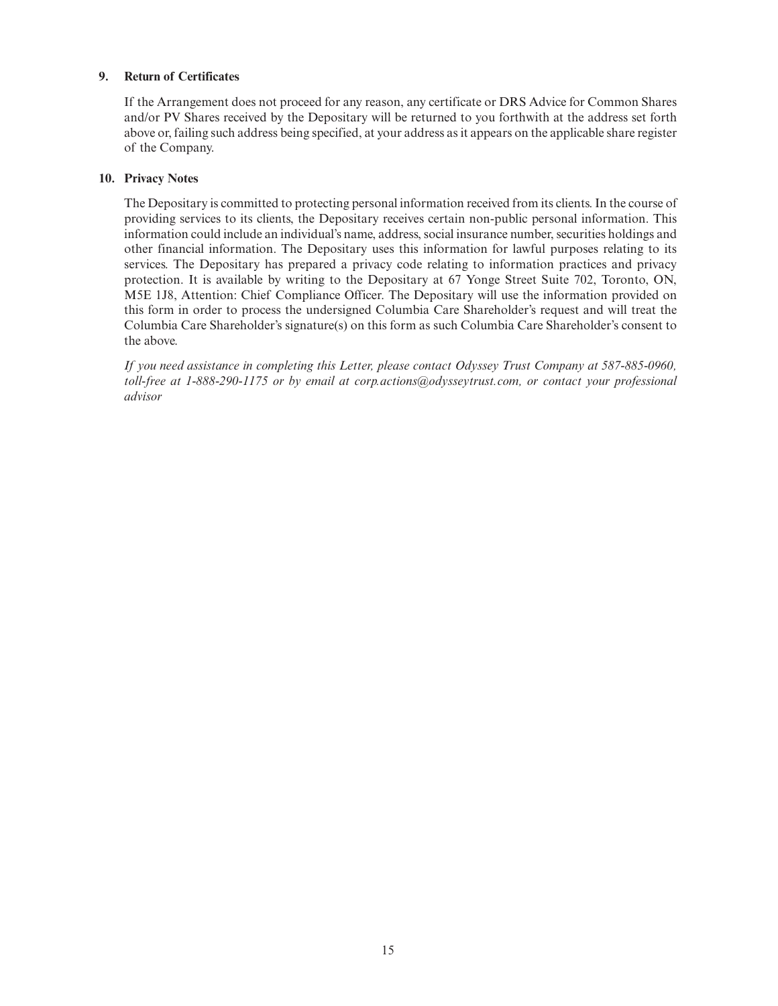# **9. Return of Certificates**

If the Arrangement does not proceed for any reason, any certificate or DRS Advice for Common Shares and/or PV Shares received by the Depositary will be returned to you forthwith at the address set forth above or, failing such address being specified, at your address as it appears on the applicable share register of the Company.

# **10. Privacy Notes**

The Depositary is committed to protecting personal information received from its clients. In the course of providing services to its clients, the Depositary receives certain non-public personal information. This information could include an individual's name, address, social insurance number, securities holdings and other financial information. The Depositary uses this information for lawful purposes relating to its services. The Depositary has prepared a privacy code relating to information practices and privacy protection. It is available by writing to the Depositary at 67 Yonge Street Suite 702, Toronto, ON, M5E 1J8, Attention: Chief Compliance Officer. The Depositary will use the information provided on this form in order to process the undersigned Columbia Care Shareholder's request and will treat the Columbia Care Shareholder's signature(s) on this form as such Columbia Care Shareholder's consent to the above.

*If you need assistance in completing this Letter, please contact Odyssey Trust Company at 587-885-0960, toll-free at 1-888-290-1175 or by email at corp.actions@odysseytrust.com, or contact your professional advisor*